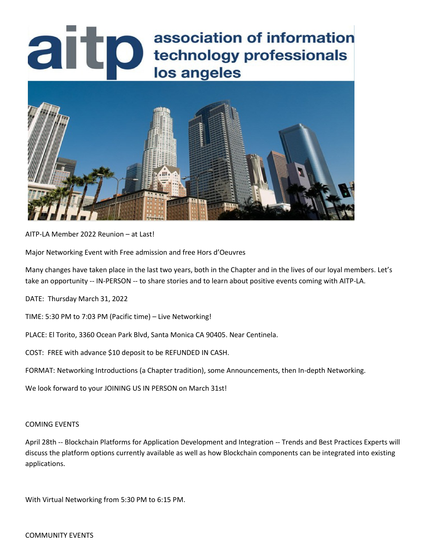## association of information<br>lechnology professionals<br>los angeles association of information



AITP-LA Member 2022 Reunion – at Last!

Major Networking Event with Free admission and free Hors d'Oeuvres

Many changes have taken place in the last two years, both in the Chapter and in the lives of our loyal members. Let's take an opportunity -- IN-PERSON -- to share stories and to learn about positive events coming with AITP-LA.

DATE: Thursday March 31, 2022

TIME: 5:30 PM to 7:03 PM (Pacific time) – Live Networking!

PLACE: El Torito, 3360 Ocean Park Blvd, Santa Monica CA 90405. Near Centinela.

COST: FREE with advance \$10 deposit to be REFUNDED IN CASH.

FORMAT: Networking Introductions (a Chapter tradition), some Announcements, then In-depth Networking.

We look forward to your JOINING US IN PERSON on March 31st!

## COMING EVENTS

April 28th -- Blockchain Platforms for Application Development and Integration -- Trends and Best Practices Experts will discuss the platform options currently available as well as how Blockchain components can be integrated into existing applications.

With Virtual Networking from 5:30 PM to 6:15 PM.

## COMMUNITY EVENTS